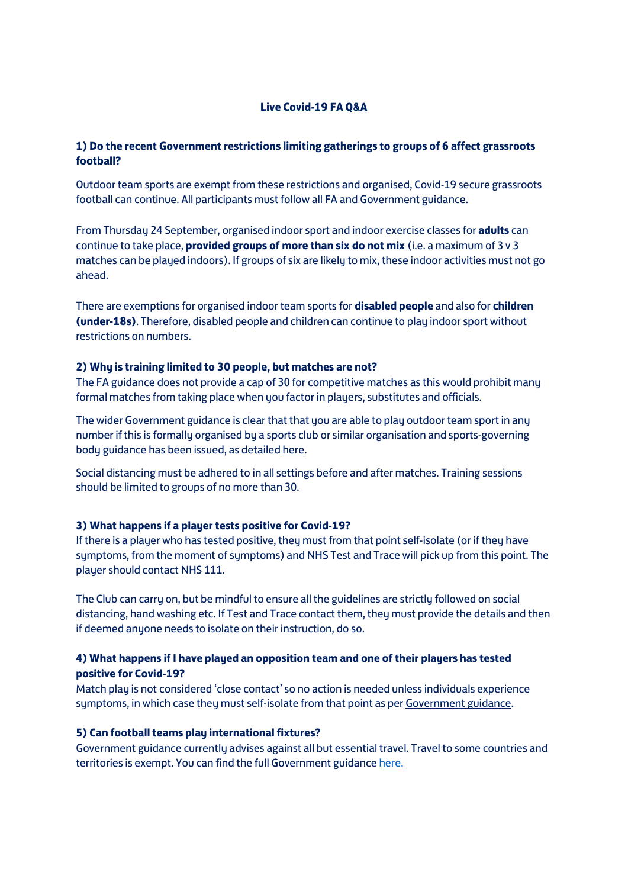# **Live Covid-19 FA Q&A**

# **1) Do the recent Government restrictions limiting gatherings to groups of 6 affect grassroots football?**

Outdoor team sports are exempt from these restrictions and organised, Covid-19 secure grassroots football can continue. All participants must follow all FA and Government guidance.

From Thursday 24 September, organised indoor sport and indoor exercise classes for **adults** can continue to take place, **provided groups of more than six do not mix** (i.e. a maximum of 3 v 3 matches can be played indoors). If groups of six are likely to mix, these indoor activities must not go ahead.

There are exemptions for organised indoor team sports for **disabled people** and also for **children (under-18s)**. Therefore, disabled people and children can continue to play indoor sport without restrictions on numbers.

#### **2) Why is training limited to 30 people, but matches are not?**

The FA guidance does not provide a cap of 30 for competitive matches as this would prohibit many formal matches from taking place when you factor in players, substitutes and officials.

The wider Government guidance is clear that that you are able to play outdoor team sport in any number if this is formally organised by a sports club or similar organisation and sports-governing body guidance has been issued, as detailed here.

Social distancing must be adhered to in all settings before and after matches. Training sessions should be limited to groups of no more than 30.

#### **3) What happens if a player tests positive for Covid-19?**

If there is a player who has tested positive, they must from that point self-isolate (or if they have symptoms, from the moment of symptoms) and NHS Test and Trace will pick up from this point. The player should contact NHS 111.

The Club can carry on, but be mindful to ensure all the guidelines are strictly followed on social distancing, hand washing etc. If Test and Trace contact them, they must provide the details and then if deemed anyone needs to isolate on their instruction, do so.

### **4) What happens if I have played an opposition team and one of their players has tested positive for Covid-19?**

Match play is not considered 'close contact' so no action is needed unless individuals experience symptoms, in which case they must self-isolate from that point as pe[r Government guidance.](https://www.gov.uk/guidance/nhs-test-and-trace-how-it-works)

#### **5) Can football teams play international fixtures?**

Government guidance currently advises against all but essential travel. Travel to some countries and territories is exempt. You can find the full Government guidanc[e here.](https://www.gov.uk/foreign-travel-advice)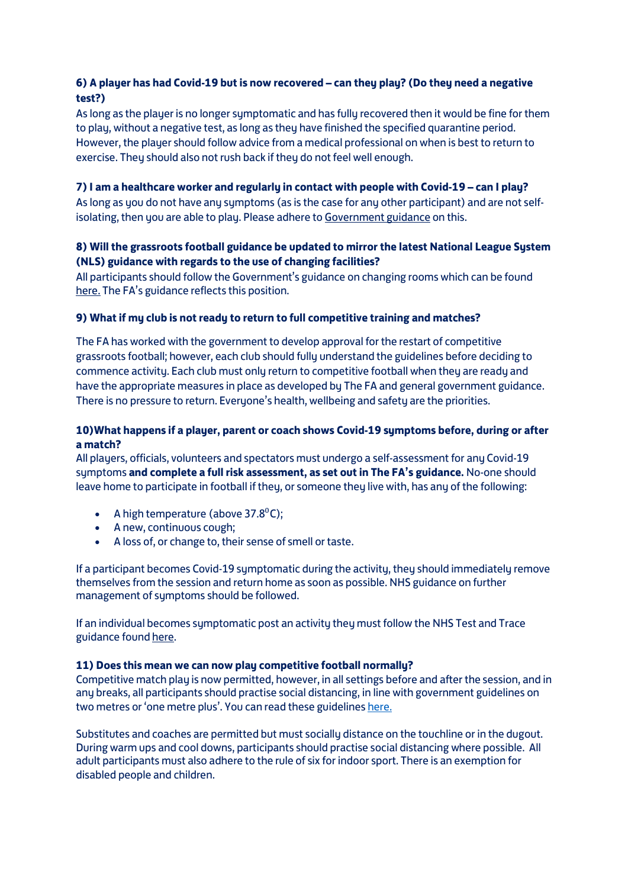# **6) A player has had Covid-19 but is now recovered – can they play? (Do they need a negative test?)**

As long as the player is no longer symptomatic and has fully recovered then it would be fine for them to play, without a negative test, as long as they have finished the specified quarantine period. However, the player should follow advice from a medical professional on when is best to return to exercise. They should also not rush back if they do not feel well enough.

## **7) I am a healthcare worker and regularly in contact with people with Covid-19 – can I play?**

As long as you do not have any symptoms (as is the case for any other participant) and are not selfisolating, then you are able to play. Please adhere t[o Government guidance](https://www.gov.uk/guidance/nhs-test-and-trace-how-it-works) on this.

# **8) Will the grassroots football guidance be updated to mirror the latest National League System (NLS) guidance with regards to the use of changing facilities?**

All participants should follow the Government's guidance on changing rooms which can be found [here.](https://www.gov.uk/guidance/working-safely-during-coronavirus-covid-19/providers-of-grassroots-sport-and-gym-leisure-facilities#section-6-4) The FA's guidance reflects this position.

### **9) What if my club is not ready to return to full competitive training and matches?**

The FA has worked with the government to develop approval for the restart of competitive grassroots football; however, each club should fully understand the guidelines before deciding to commence activity. Each club must only return to competitive football when they are ready and have the appropriate measures in place as developed by The FA and general government guidance. There is no pressure to return. Everyone's health, wellbeing and safety are the priorities.

# **10)What happens if a player, parent or coach shows Covid-19 symptoms before, during or after a match?**

All players, officials, volunteers and spectators must undergo a self-assessment for any Covid-19 symptoms **and complete a full risk assessment, as set out in The FA's guidance.** No-one should leave home to participate in football if they, or someone they live with, has any of the following:

- A high temperature (above  $37.8^{\circ}$ C);
- A new, continuous cough;
- A loss of, or change to, their sense of smell or taste.

If a participant becomes Covid-19 symptomatic during the activity, they should immediately remove themselves from the session and return home as soon as possible. NHS guidance on further management of symptoms should be followed.

If an individual becomes symptomatic post an activity they must follow the NHS Test and Trace guidance foun[d here.](https://www.gov.uk/guidance/nhs-test-and-trace-how-it-works)

### **11) Does this mean we can now play competitive football normally?**

Competitive match play is now permitted, however, in all settings before and after the session, and in any breaks, all participants should practise social distancing, in line with government guidelines on two metres or 'one metre plus'. You can read these guideline[s here.](http://www.thefa.com/-/media/thefacom-new/files/get-involved/2020/detailed-covid-19-guidance-on-re-starting-competitive-grassroots-football.ashx)

Substitutes and coaches are permitted but must socially distance on the touchline or in the dugout. During warm ups and cool downs, participants should practise social distancing where possible. All adult participants must also adhere to the rule of six for indoor sport. There is an exemption for disabled people and children.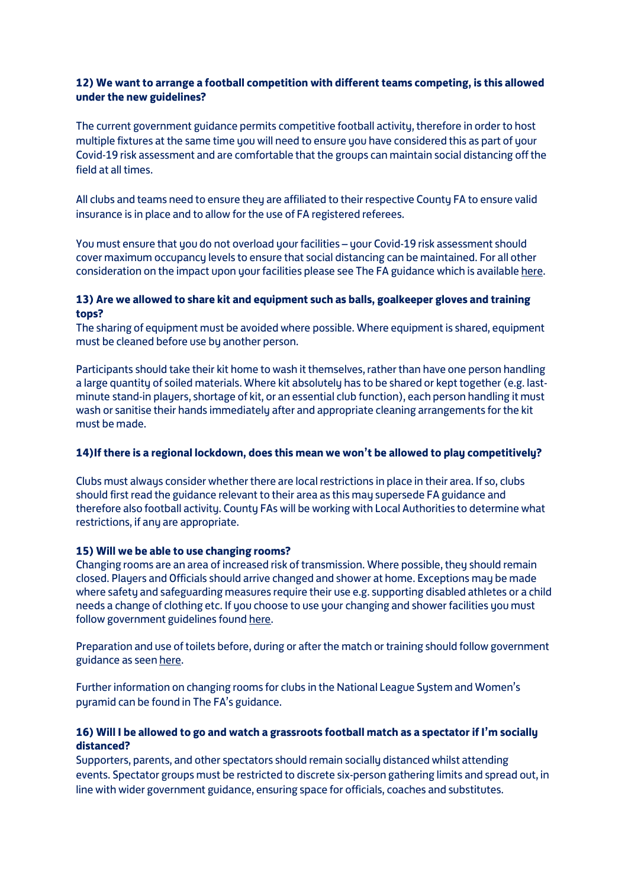# **12) We want to arrange a football competition with different teams competing, is this allowed under the new guidelines?**

The current government guidance permits competitive football activity, therefore in order to host multiple fixtures at the same time you will need to ensure you have considered this as part of your Covid-19 risk assessment and are comfortable that the groups can maintain social distancing off the field at all times.

All clubs and teams need to ensure they are affiliated to their respective County FA to ensure valid insurance is in place and to allow for the use of FA registered referees.

You must ensure that you do not overload your facilities – your Covid-19 risk assessment should cover maximum occupancy levels to ensure that social distancing can be maintained. For all other consideration on the impact upon your facilities please see The FA guidance which is available [here.](http://www.thefa.com/-/media/thefacom-new/files/get-involved/2020/outdoor-football-facilities---covid-19-guidance-on-re-starting-competitive-grassroots-football)

### **13) Are we allowed to share kit and equipment such as balls, goalkeeper gloves and training tops?**

The sharing of equipment must be avoided where possible. Where equipment is shared, equipment must be cleaned before use by another person.

Participants should take their kit home to wash it themselves, rather than have one person handling a large quantity of soiled materials. Where kit absolutely has to be shared or kept together (e.g. lastminute stand-in players, shortage of kit, or an essential club function), each person handling it must wash or sanitise their hands immediately after and appropriate cleaning arrangements for the kit must be made.

### **14)If there is a regional lockdown, does this mean we won't be allowed to play competitively?**

Clubs must always consider whether there are local restrictions in place in their area. If so, clubs should first read the guidance relevant to their area as this may supersede FA guidance and therefore also football activity. County FAs will be working with Local Authorities to determine what restrictions, if any are appropriate.

### **15) Will we be able to use changing rooms?**

Changing rooms are an area of increased risk of transmission. Where possible, they should remain closed. Players and Officials should arrive changed and shower at home. Exceptions may be made where safety and safeguarding measures require their use e.g. supporting disabled athletes or a child needs a change of clothing etc. If you choose to use your changing and shower facilities you must follow government guidelines foun[d here.](https://www.gov.uk/guidance/working-safely-during-coronavirus-covid-19/providers-of-grassroots-sport-and-gym-leisure-facilities#section-6-4)

Preparation and use of toilets before, during or after the match or training should follow government guidance as see[n here.](https://www.gov.uk/government/publications/coronavirus-covid-19-guidance-on-phased-return-of-sport-and-recreation/guidance-for-providers-of-outdoor-facilities-on-the-phased-return-of-sport-and-recreation#keeping-facilities-and-equipment-clean)

Further information on changing rooms for clubs in the National League Sustem and Women's pyramid can be found in The FA's guidance.

### **16) Will I be allowed to go and watch a grassroots football match as a spectator if I'm socially distanced?**

Supporters, parents, and other spectators should remain socially distanced whilst attending events. Spectator groups must be restricted to discrete six-person gathering limits and spread out, in line with wider government guidance, ensuring space for officials, coaches and substitutes.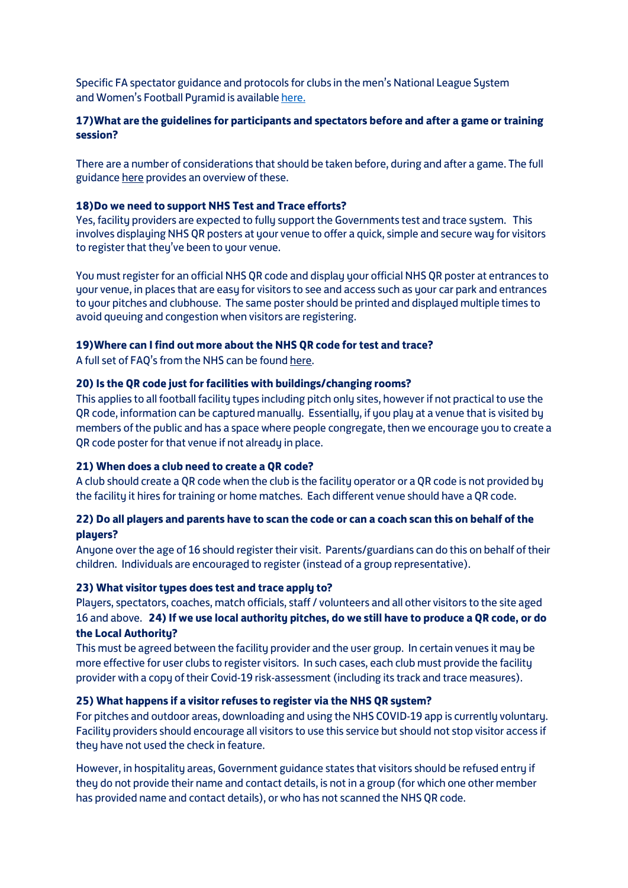Specific FA spectator guidance and protocols for clubs in the men's National League System and Women's Football Pyramid is available [here.](https://www.thefa.com/-/media/thefacom-new/files/get-involved/2020/nls-pyramid-guidance.ashx)

### **17)What are the guidelines for participants and spectators before and after a game or training session?**

There are a number of considerations that should be taken before, during and after a game. The full guidanc[e here](http://www.thefa.com/-/media/thefacom-new/files/get-involved/2020/summary-of-covid-19-guidance-on-re-starting-competitive-grassroots-football.ashx) provides an overview of these.

#### **18)Do we need to support NHS Test and Trace efforts?**

Yes, facility providers are expected to fully support the Governments test and trace system. This involves displaying NHS QR posters at your venue to offer a quick, simple and secure way for visitors to register that they've been to your venue.

You must register for an official NHS QR code and display your official NHS QR poster at entrances to your venue, in places that are easy for visitors to see and access such as your car park and entrances to your pitches and clubhouse. The same poster should be printed and displayed multiple times to avoid queuing and congestion when visitors are registering.

#### **19)Where can I find out more about the NHS QR code for test and trace?**

A full set of FAQ's from the NHS can be found [here.](https://faq.covid19.nhs.uk/category/?id=CAT-01043&parentid=CAT-01027) 

#### **20) Is the QR code just for facilities with buildings/changing rooms?**

This applies to all football facility types including pitch only sites, however if not practical to use the QR code, information can be captured manually. Essentially, if you play at a venue that is visited by members of the public and has a space where people congregate, then we encourage you to create a QR code poster for that venue if not already in place.

### **21) When does a club need to create a QR code?**

A club should create a QR code when the club is the facility operator or a QR code is not provided by the facility it hires for training or home matches. Each different venue should have a QR code.

### **22) Do all players and parents have to scan the code or can a coach scan this on behalf of the players?**

Anyone over the age of 16 should register their visit. Parents/guardians can do this on behalf of their children. Individuals are encouraged to register (instead of a group representative).

#### **23) What visitor types does test and trace apply to?**

Players, spectators, coaches, match officials, staff / volunteers and all other visitors to the site aged 16 and above. **24) If we use local authority pitches, do we still have to produce a QR code, or do the Local Authority?**

This must be agreed between the facility provider and the user group. In certain venues it may be more effective for user clubs to register visitors. In such cases, each club must provide the facility provider with a copy of their Covid-19 risk-assessment (including its track and trace measures).

#### **25) What happens if a visitor refuses to register via the NHS QR system?**

For pitches and outdoor areas, downloading and using the NHS COVID-19 app is currently voluntary. Facility providers should encourage all visitors to use this service but should not stop visitor access if they have not used the check in feature.

However, in hospitality areas, Government guidance states that visitors should be refused entry if they do not provide their name and contact details, is not in a group (for which one other member has provided name and contact details), or who has not scanned the NHS QR code.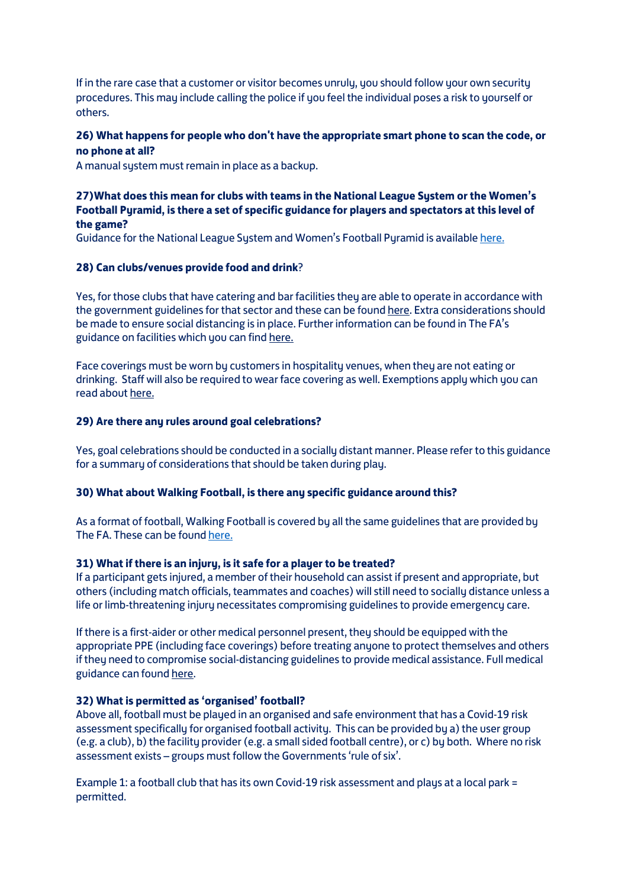If in the rare case that a customer or visitor becomes unruly, you should follow your own security procedures. This may include calling the police if you feel the individual poses a risk to yourself or others.

# **26) What happens for people who don't have the appropriate smart phone to scan the code, or no phone at all?**

A manual system must remain in place as a backup.

# **27)What does this mean for clubs with teams in the National League System or the Women's Football Pyramid, is there a set of specific guidance for players and spectators at this level of the game?**

Guidance for the National League Sustem and Women's Football Puramid is available [here.](https://www.thefa.com/-/media/thefacom-new/files/get-involved/2020/nls-pyramid-guidance.ashx)

### **28) Can clubs/venues provide food and drink**?

Yes, for those clubs that have catering and bar facilities they are able to operate in accordance with the government guidelines for that sector and these can be foun[d here.](https://www.gov.uk/guidance/working-safely-during-coronavirus-covid-19/restaurants-offering-takeaway-or-delivery) Extra considerations should be made to ensure social distancing is in place. Further information can be found in The FA's guidance on facilities which you can fin[d here.](http://www.thefa.com/-/media/thefacom-new/files/get-involved/2020/outdoor-football-facilities---covid-19-guidance-on-re-starting-competitive-grassroots-football.ashx)

Face coverings must be worn bu customers in hospitality venues, when they are not eating or drinking. Staff will also be required to wear face covering as well. Exemptions apply which you can read abou[t here.](https://www.gov.uk/government/publications/coronavirus-outbreak-faqs-what-you-can-and-cant-do/coronavirus-outbreak-faqs-what-you-can-and-cant-do)

#### **29) Are there any rules around goal celebrations?**

Yes, goal celebrations should be conducted in a socially distant manner. Please refer to this guidance for a summary of considerations that should be taken during play.

#### **30) What about Walking Football, is there any specific guidance around this?**

As a format of football, Walking Football is covered by all the same guidelines that are provided by The FA. These can be foun[d here.](http://www.thefa.com/-/media/thefacom-new/files/get-involved/2020/detailed-covid-19-guidance-on-re-starting-competitive-grassroots-football.ashx)

#### **31) What if there is an injury, is it safe for a player to be treated?**

If a participant gets injured, a member of their household can assist if present and appropriate, but others (including match officials, teammates and coaches) will still need to socially distance unless a life or limb-threatening injury necessitates compromising guidelines to provide emergency care.

If there is a first-aider or other medical personnel present, they should be equipped with the appropriate PPE (including face coverings) before treating anyone to protect themselves and others if they need to compromise social-distancing guidelines to provide medical assistance. Full medical guidance can foun[d here.](http://www.thefa.com/-/media/thefacom-new/files/get-involved/2020/clubs-and-coaches---covid-19-first-aid-guidance-for-returning-to-competitive-grassroots-football.ashx)

#### **32) What is permitted as 'organised' football?**

Above all, football must be played in an organised and safe environment that has a Covid-19 risk assessment specifically for organised football activity. This can be provided by a) the user group (e.g. a club), b) the facility provider (e.g. a small sided football centre), or c) by both. Where no risk assessment exists – groups must follow the Governments 'rule of six'.

Example 1: a football club that has its own Covid-19 risk assessment and plays at a local park = permitted.